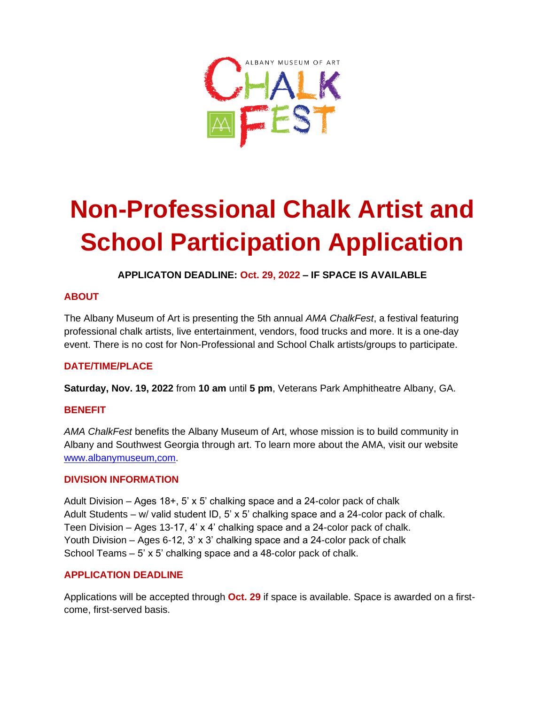

# **Non-Professional Chalk Artist and School Participation Application**

**APPLICATON DEADLINE: Oct. 29, 2022 – IF SPACE IS AVAILABLE**

### **ABOUT**

The Albany Museum of Art is presenting the 5th annual *AMA ChalkFest*, a festival featuring professional chalk artists, live entertainment, vendors, food trucks and more. It is a one-day event. There is no cost for Non-Professional and School Chalk artists/groups to participate.

#### **DATE/TIME/PLACE**

**Saturday, Nov. 19, 2022** from **10 am** until **5 pm**, Veterans Park Amphitheatre Albany, GA.

#### **BENEFIT**

*AMA ChalkFest* benefits the Albany Museum of Art, whose mission is to build community in Albany and Southwest Georgia through art. To learn more about the AMA, visit our website [www.albanymuseum,com.](http://www.albanymuseum,com/)

#### **DIVISION INFORMATION**

Adult Division – Ages 18+, 5' x 5' chalking space and a 24-color pack of chalk Adult Students – w/ valid student ID, 5' x 5' chalking space and a 24-color pack of chalk. Teen Division – Ages 13-17, 4' x 4' chalking space and a 24-color pack of chalk. Youth Division – Ages 6-12, 3' x 3' chalking space and a 24-color pack of chalk School Teams – 5' x 5' chalking space and a 48-color pack of chalk.

#### **APPLICATION DEADLINE**

Applications will be accepted through **Oct. 29** if space is available. Space is awarded on a firstcome, first-served basis.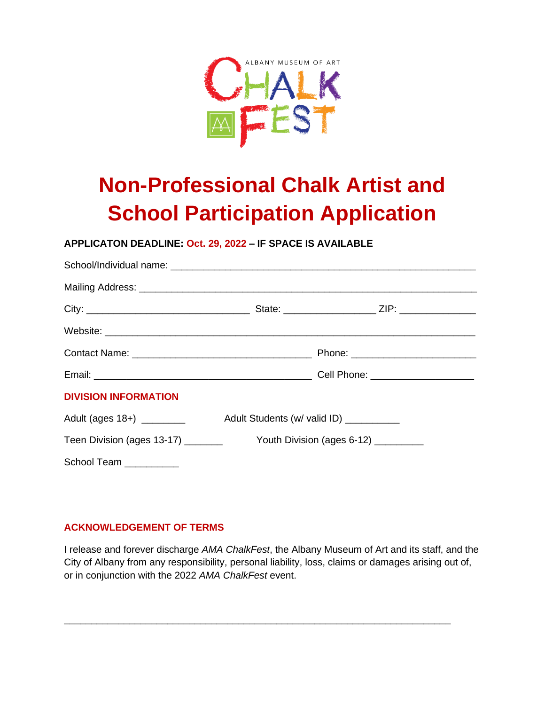

## **Non-Professional Chalk Artist and School Participation Application**

#### **APPLICATON DEADLINE: Oct. 29, 2022 – IF SPACE IS AVAILABLE**

| <b>DIVISION INFORMATION</b> |                                          |  |
|-----------------------------|------------------------------------------|--|
| Adult (ages 18+) _________  | Adult Students (w/ valid ID) ___________ |  |
|                             |                                          |  |
| School Team _________       |                                          |  |

#### **ACKNOWLEDGEMENT OF TERMS**

I release and forever discharge *AMA ChalkFest*, the Albany Museum of Art and its staff, and the City of Albany from any responsibility, personal liability, loss, claims or damages arising out of, or in conjunction with the 2022 *AMA ChalkFest* event.

\_\_\_\_\_\_\_\_\_\_\_\_\_\_\_\_\_\_\_\_\_\_\_\_\_\_\_\_\_\_\_\_\_\_\_\_\_\_\_\_\_\_\_\_\_\_\_\_\_\_\_\_\_\_\_\_\_\_\_\_\_\_\_\_\_\_\_\_\_\_\_